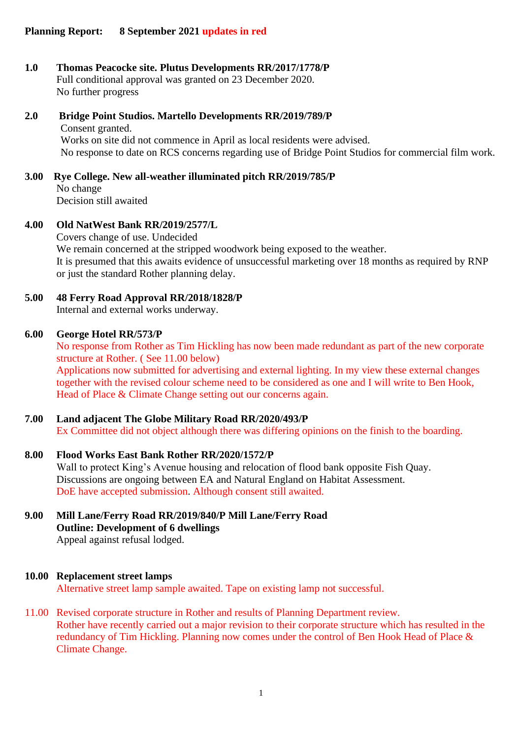- **1.0 Thomas Peacocke site. Plutus Developments RR/2017/1778/P** Full conditional approval was granted on 23 December 2020. No further progress
- **2.0 Bridge Point Studios. Martello Developments RR/2019/789/P** Consent granted. Works on site did not commence in April as local residents were advised. No response to date on RCS concerns regarding use of Bridge Point Studios for commercial film work.
- **3.00 Rye College. New all-weather illuminated pitch RR/2019/785/P** No change Decision still awaited

# **4.00 Old NatWest Bank RR/2019/2577/L**

Covers change of use. Undecided We remain concerned at the stripped woodwork being exposed to the weather. It is presumed that this awaits evidence of unsuccessful marketing over 18 months as required by RNP or just the standard Rother planning delay.

**5.00 48 Ferry Road Approval RR/2018/1828/P** Internal and external works underway.

## **6.00 George Hotel RR/573/P**

No response from Rother as Tim Hickling has now been made redundant as part of the new corporate structure at Rother. ( See 11.00 below) Applications now submitted for advertising and external lighting. In my view these external changes together with the revised colour scheme need to be considered as one and I will write to Ben Hook, Head of Place & Climate Change setting out our concerns again.

# **7.00 Land adjacent The Globe Military Road RR/2020/493/P**

Ex Committee did not object although there was differing opinions on the finish to the boarding.

- **8.00 Flood Works East Bank Rother RR/2020/1572/P** Wall to protect King's Avenue housing and relocation of flood bank opposite Fish Quay. Discussions are ongoing between EA and Natural England on Habitat Assessment. DoE have accepted submission. Although consent still awaited.
- **9.00 Mill Lane/Ferry Road RR/2019/840/P Mill Lane/Ferry Road Outline: Development of 6 dwellings**

Appeal against refusal lodged.

# **10.00 Replacement street lamps**

Alternative street lamp sample awaited. Tape on existing lamp not successful.

11.00 Revised corporate structure in Rother and results of Planning Department review. Rother have recently carried out a major revision to their corporate structure which has resulted in the redundancy of Tim Hickling. Planning now comes under the control of Ben Hook Head of Place & Climate Change.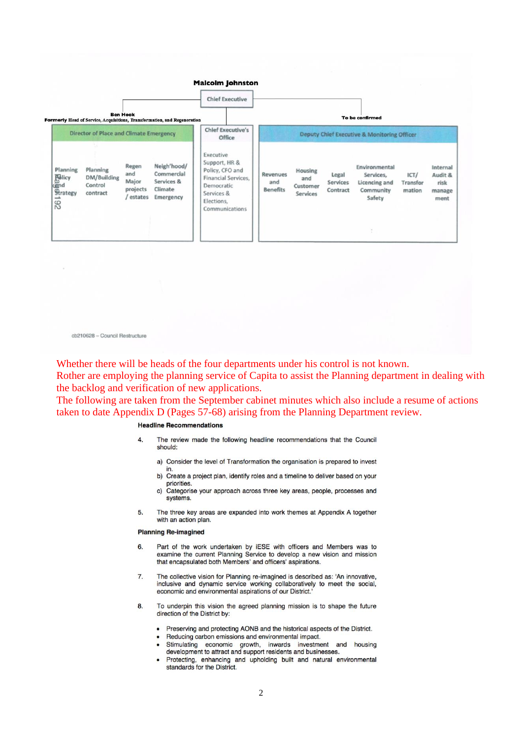|                                                                                                                    |                                              |                                                                 | <b>Chief Executive</b>                                                                                                                   |                                             |                                        |                               |                                                                    |                            |                                               |  |
|--------------------------------------------------------------------------------------------------------------------|----------------------------------------------|-----------------------------------------------------------------|------------------------------------------------------------------------------------------------------------------------------------------|---------------------------------------------|----------------------------------------|-------------------------------|--------------------------------------------------------------------|----------------------------|-----------------------------------------------|--|
| <b>Ben Hook</b><br>Formerly Head of Service, Acquisitions, Transformation, and Regeneration                        |                                              |                                                                 |                                                                                                                                          |                                             | To be confirmed                        |                               |                                                                    |                            |                                               |  |
| <b>Director of Place and Climate Emergency</b>                                                                     |                                              |                                                                 | <b>Chief Executive's</b><br>Office                                                                                                       | Deputy Chief Executive & Monitoring Officer |                                        |                               |                                                                    |                            |                                               |  |
| Planning<br>Planning<br><b>Relicy</b><br>DM/Building<br>Control<br>cend.<br><b>Strategy</b><br>contract<br>ᅭ<br>82 | Regen<br>and<br>Major<br>projects<br>estates | Neigh'hood/<br>Commercial<br>Services &<br>Climate<br>Emergency | Executive<br>Support, HR &<br>Policy, CFO and<br><b>Financial Services</b> ,<br>Democratic<br>Services &<br>Elections,<br>Communications | <b>Revenues</b><br>and<br><b>Benefits</b>   | Housing<br>and<br>Customer<br>Services | Legal<br>Services<br>Contract | Environmental<br>Services,<br>Licencing and<br>Community<br>Safety | ICT/<br>Transfor<br>mation | Internal<br>Audit &<br>risk<br>manage<br>ment |  |

cb210628 - Council Restructure

Whether there will be heads of the four departments under his control is not known.

Rother are employing the planning service of Capita to assist the Planning department in dealing with the backlog and verification of new applications.

The following are taken from the September cabinet minutes which also include a resume of actions taken to date Appendix D (Pages 57-68) arising from the Planning Department review.

### **Headline Recommendations**

- The review made the following headline recommendations that the Council  $\overline{4}$ should:
	- a) Consider the level of Transformation the organisation is prepared to invest
	- b) Create a project plan, identify roles and a timeline to deliver based on your priorities.
	- c) Categorise your approach across three key areas, people, processes and systems.
- 5. The three key areas are expanded into work themes at Appendix A together with an action plan.

#### **Planning Re-imagined**

in.

- Part of the work undertaken by iESE with officers and Members was to 6. examine the current Planning Service to develop a new vision and mission that encapsulated both Members' and officers' aspirations.
- 7. The collective vision for Planning re-imagined is described as: 'An innovative, inclusive and dynamic service working collaboratively to meet the social, economic and environmental aspirations of our District.'
- To underpin this vision the agreed planning mission is to shape the future 8. direction of the District by:
	- Preserving and protecting AONB and the historical aspects of the District.
	- Reducing carbon emissions and environmental impact.
	- Stimulating economic growth, inwards investment and housing  $\bullet$ development to attract and support residents and businesses.
	- Protecting, enhancing and upholding built and natural environmental standards for the District.